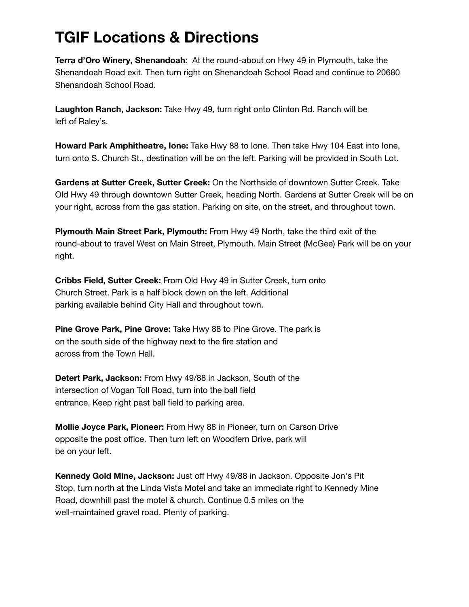## **TGIF Locations & Directions**

**Terra d'Oro Winery, Shenandoah**: At the round-about on Hwy 49 in Plymouth, take the Shenandoah Road exit. Then turn right on Shenandoah School Road and continue to 20680 Shenandoah School Road.

**Laughton Ranch, Jackson:** Take Hwy 49, turn right onto Clinton Rd. Ranch will be left of Raley's.

**Howard Park Amphitheatre, Ione:** Take Hwy 88 to Ione. Then take Hwy 104 East into Ione, turn onto S. Church St., destination will be on the left. Parking will be provided in South Lot.

**Gardens at Sutter Creek, Sutter Creek:** On the Northside of downtown Sutter Creek. Take Old Hwy 49 through downtown Sutter Creek, heading North. Gardens at Sutter Creek will be on your right, across from the gas station. Parking on site, on the street, and throughout town.

**Plymouth Main Street Park, Plymouth:** From Hwy 49 North, take the third exit of the round-about to travel West on Main Street, Plymouth. Main Street (McGee) Park will be on your right.

**Cribbs Field, Sutter Creek:** From Old Hwy 49 in Sutter Creek, turn onto Church Street. Park is a half block down on the left. Additional parking available behind City Hall and throughout town.

**Pine Grove Park, Pine Grove:** Take Hwy 88 to Pine Grove. The park is on the south side of the highway next to the fire station and across from the Town Hall.

**Detert Park, Jackson:** From Hwy 49/88 in Jackson, South of the intersection of Vogan Toll Road, turn into the ball field entrance. Keep right past ball field to parking area.

**Mollie Joyce Park, Pioneer:** From Hwy 88 in Pioneer, turn on Carson Drive opposite the post office. Then turn left on Woodfern Drive, park will be on your left.

**Kennedy Gold Mine, Jackson:** Just off Hwy 49/88 in Jackson. Opposite Jon's Pit Stop, turn north at the Linda Vista Motel and take an immediate right to Kennedy Mine Road, downhill past the motel & church. Continue 0.5 miles on the well-maintained gravel road. Plenty of parking.